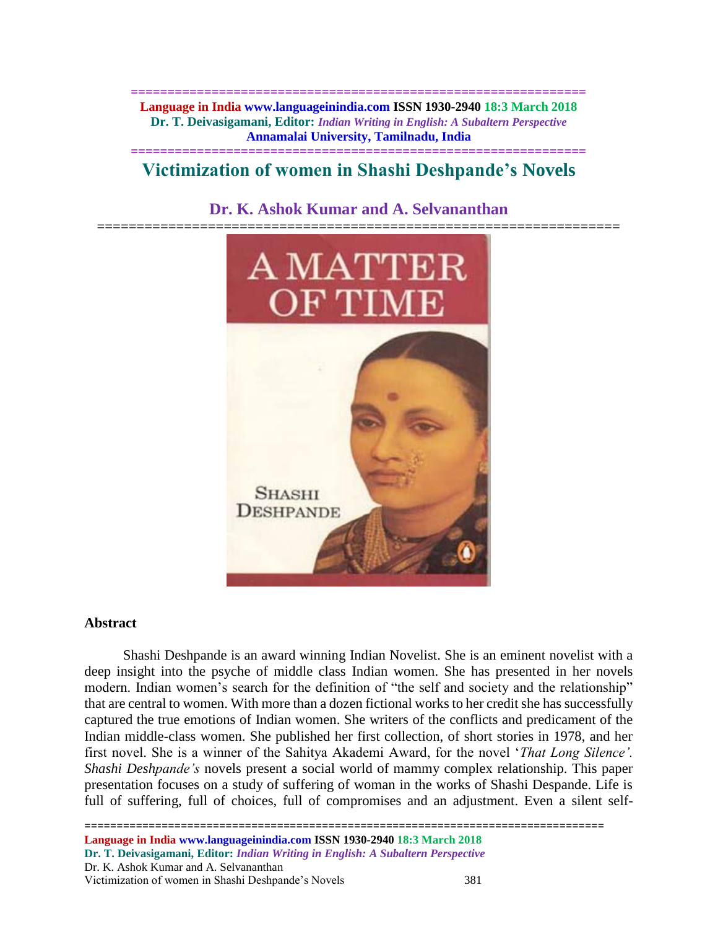**============================================================== Language in India www.languageinindia.com ISSN 1930-2940 18:3 March 2018 Dr. T. Deivasigamani, Editor:** *Indian Writing in English: A Subaltern Perspective* **Annamalai University, Tamilnadu, India**

# **============================================================== Victimization of women in Shashi Deshpande's Novels**

# **Dr. K. Ashok Kumar and A. Selvananthan**



## **Abstract**

 Shashi Deshpande is an award winning Indian Novelist. She is an eminent novelist with a deep insight into the psyche of middle class Indian women. She has presented in her novels modern. Indian women's search for the definition of "the self and society and the relationship" that are central to women. With more than a dozen fictional works to her credit she has successfully captured the true emotions of Indian women. She writers of the conflicts and predicament of the Indian middle-class women. She published her first collection, of short stories in 1978, and her first novel. She is a winner of the Sahitya Akademi Award, for the novel '*That Long Silence'. Shashi Deshpande's* novels present a social world of mammy complex relationship. This paper presentation focuses on a study of suffering of woman in the works of Shashi Despande. Life is full of suffering, full of choices, full of compromises and an adjustment. Even a silent self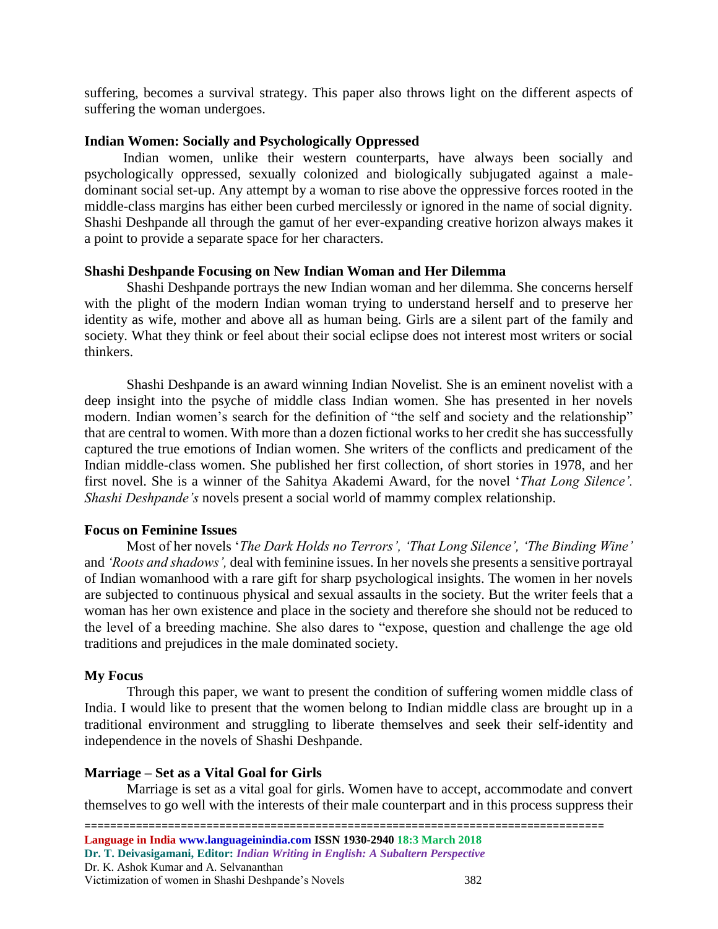suffering, becomes a survival strategy. This paper also throws light on the different aspects of suffering the woman undergoes.

## **Indian Women: Socially and Psychologically Oppressed**

 Indian women, unlike their western counterparts, have always been socially and psychologically oppressed, sexually colonized and biologically subjugated against a maledominant social set-up. Any attempt by a woman to rise above the oppressive forces rooted in the middle-class margins has either been curbed mercilessly or ignored in the name of social dignity. Shashi Deshpande all through the gamut of her ever-expanding creative horizon always makes it a point to provide a separate space for her characters.

## **Shashi Deshpande Focusing on New Indian Woman and Her Dilemma**

Shashi Deshpande portrays the new Indian woman and her dilemma. She concerns herself with the plight of the modern Indian woman trying to understand herself and to preserve her identity as wife, mother and above all as human being. Girls are a silent part of the family and society. What they think or feel about their social eclipse does not interest most writers or social thinkers.

Shashi Deshpande is an award winning Indian Novelist. She is an eminent novelist with a deep insight into the psyche of middle class Indian women. She has presented in her novels modern. Indian women's search for the definition of "the self and society and the relationship" that are central to women. With more than a dozen fictional works to her credit she has successfully captured the true emotions of Indian women. She writers of the conflicts and predicament of the Indian middle-class women. She published her first collection, of short stories in 1978, and her first novel. She is a winner of the Sahitya Akademi Award, for the novel '*That Long Silence'. Shashi Deshpande's* novels present a social world of mammy complex relationship.

## **Focus on Feminine Issues**

Most of her novels '*The Dark Holds no Terrors', 'That Long Silence', 'The Binding Wine'* and *'Roots and shadows',* deal with feminine issues. In her novels she presents a sensitive portrayal of Indian womanhood with a rare gift for sharp psychological insights. The women in her novels are subjected to continuous physical and sexual assaults in the society. But the writer feels that a woman has her own existence and place in the society and therefore she should not be reduced to the level of a breeding machine. She also dares to "expose, question and challenge the age old traditions and prejudices in the male dominated society.

## **My Focus**

Through this paper, we want to present the condition of suffering women middle class of India. I would like to present that the women belong to Indian middle class are brought up in a traditional environment and struggling to liberate themselves and seek their self-identity and independence in the novels of Shashi Deshpande.

## **Marriage – Set as a Vital Goal for Girls**

Marriage is set as a vital goal for girls. Women have to accept, accommodate and convert themselves to go well with the interests of their male counterpart and in this process suppress their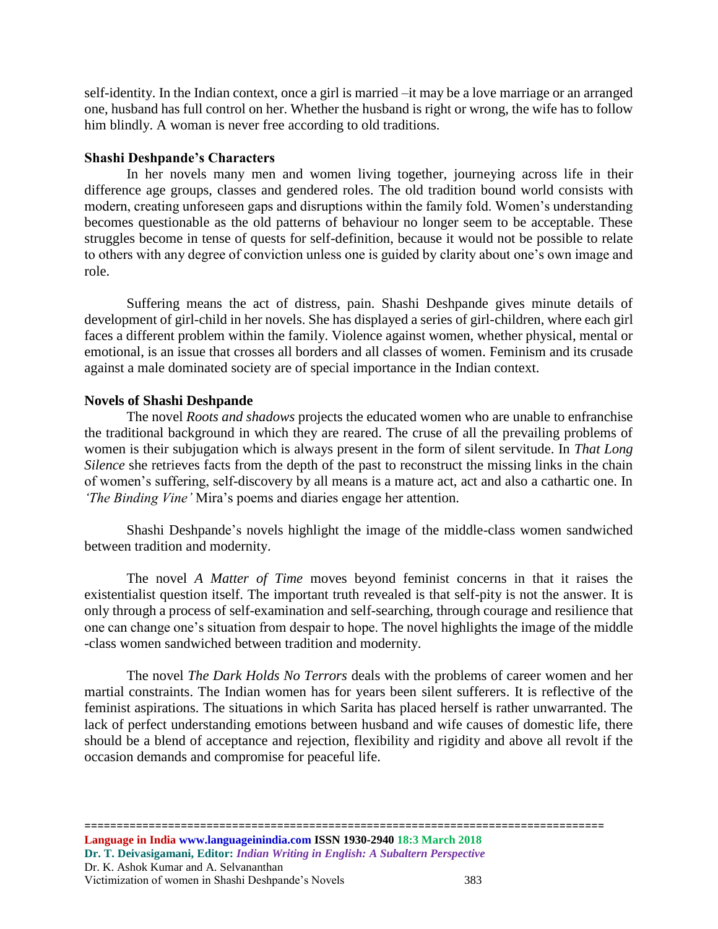self-identity. In the Indian context, once a girl is married –it may be a love marriage or an arranged one, husband has full control on her. Whether the husband is right or wrong, the wife has to follow him blindly. A woman is never free according to old traditions.

#### **Shashi Deshpande's Characters**

In her novels many men and women living together, journeying across life in their difference age groups, classes and gendered roles. The old tradition bound world consists with modern, creating unforeseen gaps and disruptions within the family fold. Women's understanding becomes questionable as the old patterns of behaviour no longer seem to be acceptable. These struggles become in tense of quests for self-definition, because it would not be possible to relate to others with any degree of conviction unless one is guided by clarity about one's own image and role.

Suffering means the act of distress, pain. Shashi Deshpande gives minute details of development of girl-child in her novels. She has displayed a series of girl-children, where each girl faces a different problem within the family. Violence against women, whether physical, mental or emotional, is an issue that crosses all borders and all classes of women. Feminism and its crusade against a male dominated society are of special importance in the Indian context.

#### **Novels of Shashi Deshpande**

The novel *Roots and shadows* projects the educated women who are unable to enfranchise the traditional background in which they are reared. The cruse of all the prevailing problems of women is their subjugation which is always present in the form of silent servitude. In *That Long Silence* she retrieves facts from the depth of the past to reconstruct the missing links in the chain of women's suffering, self-discovery by all means is a mature act, act and also a cathartic one. In *'The Binding Vine'* Mira's poems and diaries engage her attention.

Shashi Deshpande's novels highlight the image of the middle-class women sandwiched between tradition and modernity.

The novel *A Matter of Time* moves beyond feminist concerns in that it raises the existentialist question itself. The important truth revealed is that self-pity is not the answer. It is only through a process of self-examination and self-searching, through courage and resilience that one can change one's situation from despair to hope. The novel highlights the image of the middle -class women sandwiched between tradition and modernity.

 The novel *The Dark Holds No Terrors* deals with the problems of career women and her martial constraints. The Indian women has for years been silent sufferers. It is reflective of the feminist aspirations. The situations in which Sarita has placed herself is rather unwarranted. The lack of perfect understanding emotions between husband and wife causes of domestic life, there should be a blend of acceptance and rejection, flexibility and rigidity and above all revolt if the occasion demands and compromise for peaceful life.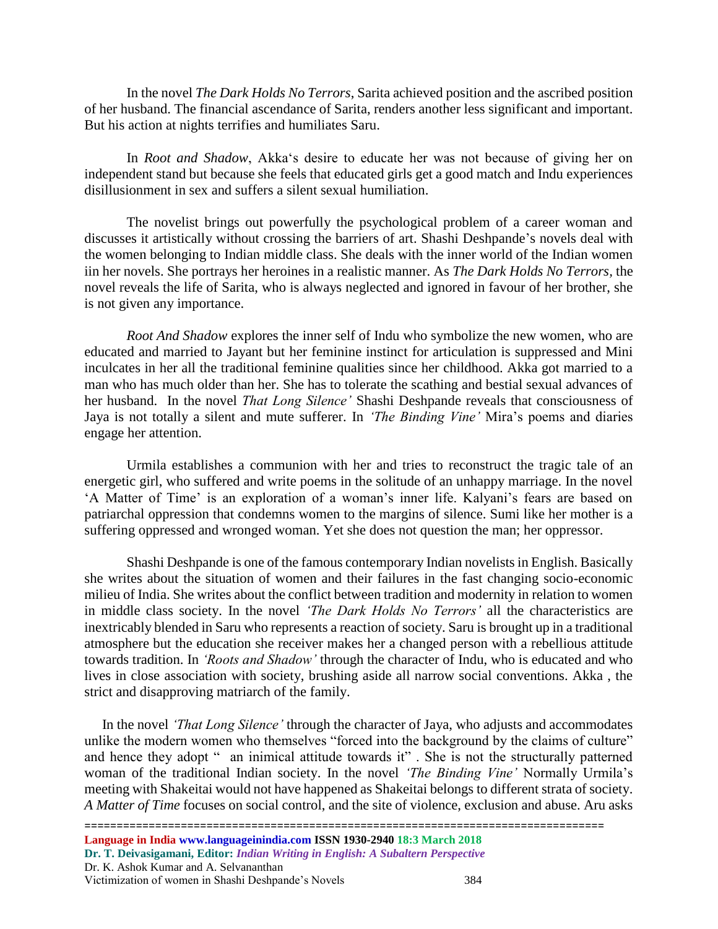In the novel *The Dark Holds No Terrors*, Sarita achieved position and the ascribed position of her husband. The financial ascendance of Sarita, renders another less significant and important. But his action at nights terrifies and humiliates Saru.

In *Root and Shadow*, Akka's desire to educate her was not because of giving her on independent stand but because she feels that educated girls get a good match and Indu experiences disillusionment in sex and suffers a silent sexual humiliation.

The novelist brings out powerfully the psychological problem of a career woman and discusses it artistically without crossing the barriers of art. Shashi Deshpande's novels deal with the women belonging to Indian middle class. She deals with the inner world of the Indian women iin her novels. She portrays her heroines in a realistic manner. As *The Dark Holds No Terrors,* the novel reveals the life of Sarita, who is always neglected and ignored in favour of her brother, she is not given any importance.

*Root And Shadow* explores the inner self of Indu who symbolize the new women, who are educated and married to Jayant but her feminine instinct for articulation is suppressed and Mini inculcates in her all the traditional feminine qualities since her childhood. Akka got married to a man who has much older than her. She has to tolerate the scathing and bestial sexual advances of her husband. In the novel *That Long Silence'* Shashi Deshpande reveals that consciousness of Jaya is not totally a silent and mute sufferer. In *'The Binding Vine'* Mira's poems and diaries engage her attention.

Urmila establishes a communion with her and tries to reconstruct the tragic tale of an energetic girl, who suffered and write poems in the solitude of an unhappy marriage. In the novel 'A Matter of Time' is an exploration of a woman's inner life. Kalyani's fears are based on patriarchal oppression that condemns women to the margins of silence. Sumi like her mother is a suffering oppressed and wronged woman. Yet she does not question the man; her oppressor.

Shashi Deshpande is one of the famous contemporary Indian novelists in English. Basically she writes about the situation of women and their failures in the fast changing socio-economic milieu of India. She writes about the conflict between tradition and modernity in relation to women in middle class society. In the novel *'The Dark Holds No Terrors'* all the characteristics are inextricably blended in Saru who represents a reaction of society. Saru is brought up in a traditional atmosphere but the education she receiver makes her a changed person with a rebellious attitude towards tradition. In *'Roots and Shadow'* through the character of Indu, who is educated and who lives in close association with society, brushing aside all narrow social conventions. Akka , the strict and disapproving matriarch of the family.

 In the novel *'That Long Silence'* through the character of Jaya, who adjusts and accommodates unlike the modern women who themselves "forced into the background by the claims of culture" and hence they adopt " an inimical attitude towards it". She is not the structurally patterned woman of the traditional Indian society. In the novel *'The Binding Vine'* Normally Urmila's meeting with Shakeitai would not have happened as Shakeitai belongs to different strata of society. *A Matter of Time* focuses on social control, and the site of violence, exclusion and abuse. Aru asks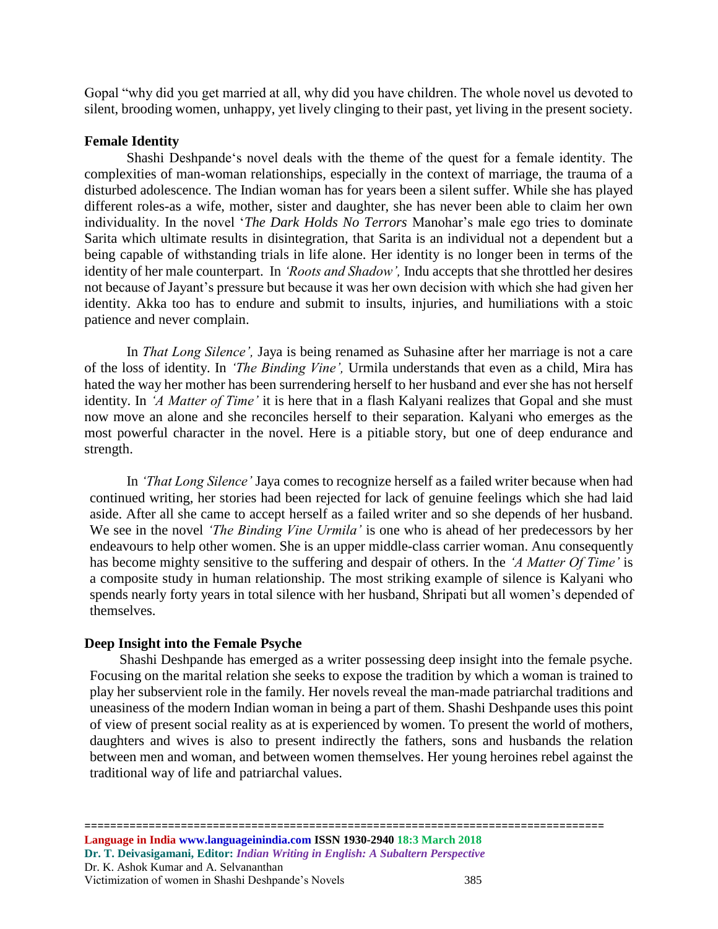Gopal "why did you get married at all, why did you have children. The whole novel us devoted to silent, brooding women, unhappy, yet lively clinging to their past, yet living in the present society.

#### **Female Identity**

Shashi Deshpande's novel deals with the theme of the quest for a female identity. The complexities of man-woman relationships, especially in the context of marriage, the trauma of a disturbed adolescence. The Indian woman has for years been a silent suffer. While she has played different roles-as a wife, mother, sister and daughter, she has never been able to claim her own individuality. In the novel '*The Dark Holds No Terrors* Manohar's male ego tries to dominate Sarita which ultimate results in disintegration, that Sarita is an individual not a dependent but a being capable of withstanding trials in life alone. Her identity is no longer been in terms of the identity of her male counterpart. In *'Roots and Shadow',* Indu accepts that she throttled her desires not because of Jayant's pressure but because it was her own decision with which she had given her identity. Akka too has to endure and submit to insults, injuries, and humiliations with a stoic patience and never complain.

In *That Long Silence',* Jaya is being renamed as Suhasine after her marriage is not a care of the loss of identity. In *'The Binding Vine',* Urmila understands that even as a child, Mira has hated the way her mother has been surrendering herself to her husband and ever she has not herself identity. In *'A Matter of Time'* it is here that in a flash Kalyani realizes that Gopal and she must now move an alone and she reconciles herself to their separation. Kalyani who emerges as the most powerful character in the novel. Here is a pitiable story, but one of deep endurance and strength.

In *'That Long Silence'* Jaya comes to recognize herself as a failed writer because when had continued writing, her stories had been rejected for lack of genuine feelings which she had laid aside. After all she came to accept herself as a failed writer and so she depends of her husband. We see in the novel *'The Binding Vine Urmila'* is one who is ahead of her predecessors by her endeavours to help other women. She is an upper middle-class carrier woman. Anu consequently has become mighty sensitive to the suffering and despair of others. In the *'A Matter Of Time'* is a composite study in human relationship. The most striking example of silence is Kalyani who spends nearly forty years in total silence with her husband, Shripati but all women's depended of themselves.

#### **Deep Insight into the Female Psyche**

 Shashi Deshpande has emerged as a writer possessing deep insight into the female psyche. Focusing on the marital relation she seeks to expose the tradition by which a woman is trained to play her subservient role in the family. Her novels reveal the man-made patriarchal traditions and uneasiness of the modern Indian woman in being a part of them. Shashi Deshpande uses this point of view of present social reality as at is experienced by women. To present the world of mothers, daughters and wives is also to present indirectly the fathers, sons and husbands the relation between men and woman, and between women themselves. Her young heroines rebel against the traditional way of life and patriarchal values.